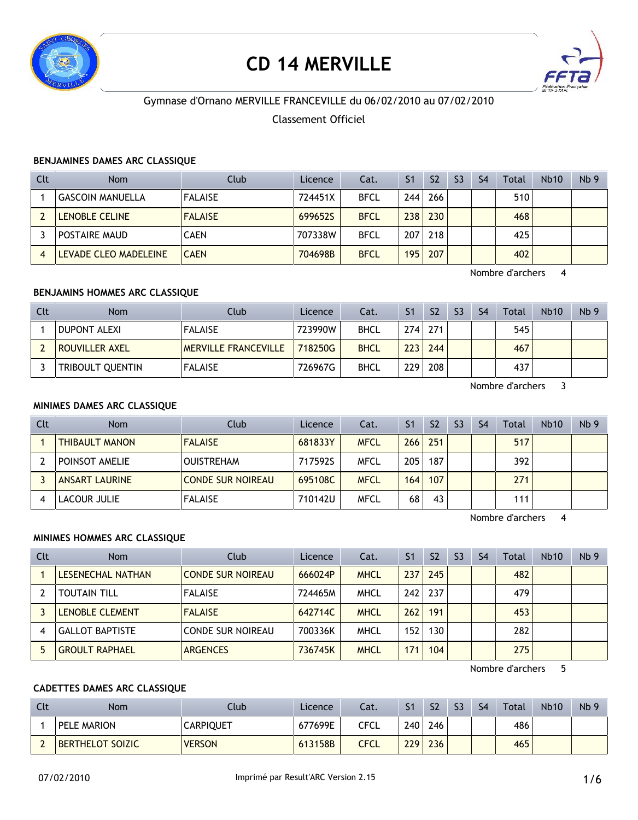

# **CD 14 MERVILLE**



# Gymnase d'Ornano MERVILLE FRANCEVILLE du 06/02/2010 au 07/02/2010

# Classement Officiel

#### **BENJAMINES DAMES ARC CLASSIQUE**

| <b>Clt</b> | <b>Nom</b>              | Club           | Licence | Cat.        | S <sub>1</sub> | S <sub>2</sub> | S <sub>3</sub> | S <sub>4</sub> | Total | <b>Nb10</b> | Nb <sub>9</sub> |
|------------|-------------------------|----------------|---------|-------------|----------------|----------------|----------------|----------------|-------|-------------|-----------------|
|            | <b>GASCOIN MANUELLA</b> | <b>FALAISE</b> | 724451X | <b>BFCL</b> | 244            | 266            |                |                | 510   |             |                 |
|            | <b>LENOBLE CELINE</b>   | <b>FALAISE</b> | 699652S | <b>BFCL</b> | 238            | 230            |                |                | 468   |             |                 |
|            | POSTAIRE MAUD           | <b>CAEN</b>    | 707338W | <b>BFCL</b> | 207            | 218            |                |                | 425   |             |                 |
| 4          | LEVADE CLEO MADELEINE   | <b>CAEN</b>    | 704698B | <b>BFCL</b> | 195            | 207            |                |                | 402   |             |                 |

Nombre d'archers 4

#### **BENJAMINS HOMMES ARC CLASSIQUE**

| <b>Clt</b> | <b>Nom</b>          | Club                        | Licence | Cat.        | S <sub>1</sub> | S <sub>2</sub> | S <sub>3</sub> | S <sub>4</sub> | Total | <b>Nb10</b> | Nb <sub>9</sub> |
|------------|---------------------|-----------------------------|---------|-------------|----------------|----------------|----------------|----------------|-------|-------------|-----------------|
|            | <b>DUPONT ALEXI</b> | <b>FALAISE</b>              | 723990W | <b>BHCL</b> |                | $274$ 271      |                |                | 545   |             |                 |
|            | ROUVILLER AXEL      | <b>MERVILLE FRANCEVILLE</b> | 718250G | <b>BHCL</b> | 223            | 244            |                |                | 467   |             |                 |
|            | TRIBOULT QUENTIN    | <b>FALAISE</b>              | 726967G | <b>BHCL</b> | 229            | 208            |                |                | 437   |             |                 |

Nombre d'archers 3

# **MINIMES DAMES ARC CLASSIQUE**

| Clt | <b>Nom</b>            | Club                     | Licence | Cat.        | S <sub>1</sub> | S <sub>2</sub> | S <sub>3</sub> | S <sub>4</sub> | Total | <b>Nb10</b> | Nb <sub>9</sub> |
|-----|-----------------------|--------------------------|---------|-------------|----------------|----------------|----------------|----------------|-------|-------------|-----------------|
|     | <b>THIBAULT MANON</b> | <b>FALAISE</b>           | 681833Y | <b>MFCL</b> | 266            | 251            |                |                | 517   |             |                 |
|     | POINSOT AMELIE        | <b>OUISTREHAM</b>        | 717592S | MFCL        | 205            | 187            |                |                | 392   |             |                 |
|     | <b>ANSART LAURINE</b> | <b>CONDE SUR NOIREAU</b> | 695108C | <b>MFCL</b> | 164            | 107            |                |                | 271   |             |                 |
|     | LACOUR JULIE          | <b>FALAISE</b>           | 710142U | MFCL        | 68             | 43             |                |                | 111   |             |                 |

Nombre d'archers 4

# **MINIMES HOMMES ARC CLASSIQUE**

| Clt | <b>Nom</b>             | Club                     | Licence | Cat.        | S <sub>1</sub> | S <sub>2</sub> | S <sub>3</sub> | S <sub>4</sub> | Total | Nb10 | Nb <sub>9</sub> |
|-----|------------------------|--------------------------|---------|-------------|----------------|----------------|----------------|----------------|-------|------|-----------------|
|     | LESENECHAL NATHAN      | <b>CONDE SUR NOIREAU</b> | 666024P | <b>MHCL</b> | 237            | 245            |                |                | 482   |      |                 |
|     | <b>TOUTAIN TILL</b>    | <b>FALAISE</b>           | 724465M | <b>MHCL</b> | 242            | 237            |                |                | 479   |      |                 |
|     | LENOBLE CLEMENT        | <b>FALAISE</b>           | 642714C | <b>MHCL</b> | 262            | 191            |                |                | 453   |      |                 |
|     | <b>GALLOT BAPTISTE</b> | CONDE SUR NOIREAU        | 700336K | <b>MHCL</b> | 152            | 130            |                |                | 282   |      |                 |
|     | <b>GROULT RAPHAEL</b>  | <b>ARGENCES</b>          | 736745K | <b>MHCL</b> | 171            | 104            |                |                | 275   |      |                 |

Nombre d'archers 5

# **CADETTES DAMES ARC CLASSIQUE**

| Clt | <b>Nom</b>              | Club             | Licence | Cat. |     | S <sub>2</sub> | S3 | S4 | Total | <b>Nb10</b> | Nb <sub>9</sub> |
|-----|-------------------------|------------------|---------|------|-----|----------------|----|----|-------|-------------|-----------------|
|     | PELE MARION             | <b>CARPIQUET</b> | 677699E | CFCL | 240 | 246            |    |    | 486   |             |                 |
|     | <b>BERTHELOT SOIZIC</b> | <b>VERSON</b>    | 613158B | CFCL | 229 | 236            |    |    | 465   |             |                 |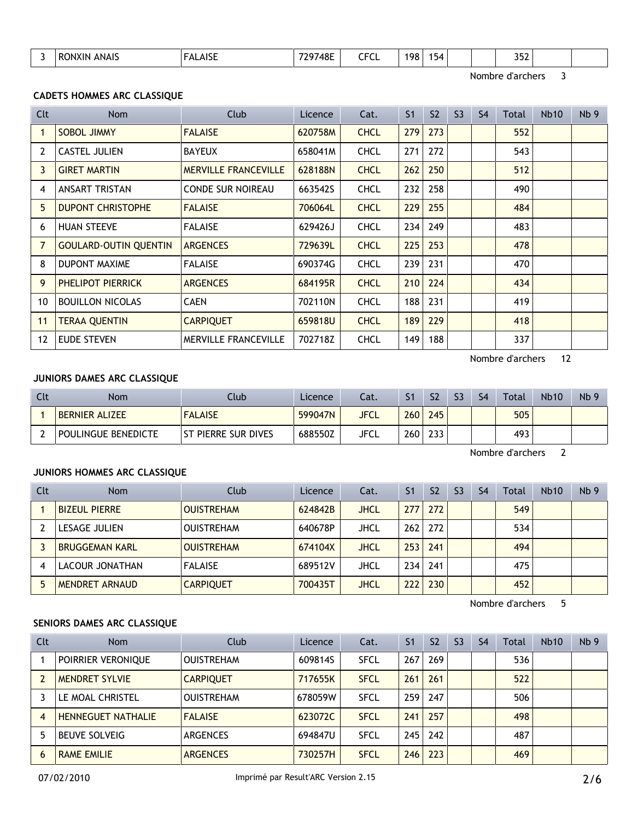| $\overline{\phantom{a}}$<br>⊿ר<br>. .<br>ושור<br>-11-<br>---<br>___<br>$\sim$ $\sim$<br>$\sim$ |
|------------------------------------------------------------------------------------------------|
|------------------------------------------------------------------------------------------------|

Nombre d'archers 3

# **CADETS HOMMES ARC CLASSIQUE**

| Clt            | <b>Nom</b>                   | Club                        | Licence | Cat.        | S <sub>1</sub> | S <sub>2</sub> | S <sub>3</sub> | S <sub>4</sub> | Total | Nb <sub>10</sub> | Nb <sub>9</sub> |
|----------------|------------------------------|-----------------------------|---------|-------------|----------------|----------------|----------------|----------------|-------|------------------|-----------------|
|                | SOBOL JIMMY                  | <b>FALAISE</b>              | 620758M | <b>CHCL</b> | 279            | 273            |                |                | 552   |                  |                 |
| 2              | <b>CASTEL JULIEN</b>         | <b>BAYEUX</b>               | 658041M | <b>CHCL</b> | 271            | 272            |                |                | 543   |                  |                 |
| 3              | <b>GIRET MARTIN</b>          | <b>MERVILLE FRANCEVILLE</b> | 628188N | <b>CHCL</b> | 262            | 250            |                |                | 512   |                  |                 |
| 4              | <b>ANSART TRISTAN</b>        | <b>CONDE SUR NOIREAU</b>    | 663542S | <b>CHCL</b> | 232            | 258            |                |                | 490   |                  |                 |
| 5              | <b>DUPONT CHRISTOPHE</b>     | <b>FALAISE</b>              | 706064L | <b>CHCL</b> | 229            | 255            |                |                | 484   |                  |                 |
| 6              | <b>HUAN STEEVE</b>           | <b>FALAISE</b>              | 629426J | <b>CHCL</b> | 234            | 249            |                |                | 483   |                  |                 |
| $\overline{7}$ | <b>GOULARD-OUTIN QUENTIN</b> | <b>ARGENCES</b>             | 729639L | <b>CHCL</b> | 225            | 253            |                |                | 478   |                  |                 |
| 8              | <b>DUPONT MAXIME</b>         | <b>FALAISE</b>              | 690374G | <b>CHCL</b> | 239            | 231            |                |                | 470   |                  |                 |
| 9              | PHELIPOT PIERRICK            | <b>ARGENCES</b>             | 684195R | <b>CHCL</b> | 210            | 224            |                |                | 434   |                  |                 |
| 10             | <b>BOUILLON NICOLAS</b>      | <b>CAEN</b>                 | 702110N | <b>CHCL</b> | 188            | 231            |                |                | 419   |                  |                 |
| 11             | <b>TERAA QUENTIN</b>         | <b>CARPIQUET</b>            | 659818U | <b>CHCL</b> | 189            | 229            |                |                | 418   |                  |                 |
| 12             | <b>EUDE STEVEN</b>           | <b>MERVILLE FRANCEVILLE</b> | 702718Z | <b>CHCL</b> | 149            | 188            |                |                | 337   |                  |                 |

Nombre d'archers 12

# **JUNIORS DAMES ARC CLASSIQUE**

| Clt | <b>Nom</b>            | Club                | Licence | Cat.        |                  | S <sub>2</sub> | S <sub>3</sub> | S <sub>4</sub> | <b>Total</b> | <b>Nb10</b> | Nb <sub>9</sub> |
|-----|-----------------------|---------------------|---------|-------------|------------------|----------------|----------------|----------------|--------------|-------------|-----------------|
|     | <b>BERNIER ALIZEE</b> | <b>FALAISE</b>      | 599047N | <b>JFCL</b> | 260              | 245            |                |                | 505          |             |                 |
|     | POULINGUE BENEDICTE   | ST PIERRE SUR DIVES | 688550Z | JFCL        | 260 <sub>1</sub> | 233            |                |                | 493          |             |                 |

Nombre d'archers 2

# **JUNIORS HOMMES ARC CLASSIQUE**

| Clt | <b>Nom</b>            | Club              | Licence | Cat.        | S <sub>1</sub> | S <sub>2</sub> | S <sub>3</sub> | S <sub>4</sub> | Total | <b>Nb10</b> | Nb <sub>9</sub> |
|-----|-----------------------|-------------------|---------|-------------|----------------|----------------|----------------|----------------|-------|-------------|-----------------|
|     | <b>BIZEUL PIERRE</b>  | <b>OUISTREHAM</b> | 624842B | <b>JHCL</b> | 277            | 272            |                |                | 549   |             |                 |
|     | LESAGE JULIEN         | <b>OUISTREHAM</b> | 640678P | <b>JHCL</b> |                | $262$   272    |                |                | 534   |             |                 |
|     | <b>BRUGGEMAN KARL</b> | <b>OUISTREHAM</b> | 674104X | <b>JHCL</b> | 253            | 241            |                |                | 494   |             |                 |
|     | LACOUR JONATHAN       | <b>FALAISE</b>    | 689512V | JHCL        | 234            | 241            |                |                | 475   |             |                 |
|     | <b>MENDRET ARNAUD</b> | <b>CARPIQUET</b>  | 700435T | <b>JHCL</b> | 222            | 230            |                |                | 452   |             |                 |

Nombre d'archers 5

# **SENIORS DAMES ARC CLASSIQUE**

| Clt | Nom                       | Club              | Licence | Cat.        | S <sub>1</sub> | S <sub>2</sub> | S <sub>3</sub> | S4 | Total | <b>Nb10</b> | Nb <sub>9</sub> |
|-----|---------------------------|-------------------|---------|-------------|----------------|----------------|----------------|----|-------|-------------|-----------------|
|     | POIRRIER VERONIQUE        | <b>OUISTREHAM</b> | 609814S | <b>SFCL</b> | 267            | 269            |                |    | 536   |             |                 |
|     | <b>MENDRET SYLVIE</b>     | <b>CARPIOUET</b>  | 717655K | <b>SFCL</b> | 261            | 261            |                |    | 522   |             |                 |
|     | LE MOAL CHRISTEL          | <b>OUISTREHAM</b> | 678059W | <b>SFCL</b> | 259            | 247            |                |    | 506   |             |                 |
| 4   | <b>HENNEGUET NATHALIE</b> | <b>FALAISE</b>    | 623072C | <b>SFCL</b> | 241            | 257            |                |    | 498   |             |                 |
|     | <b>BEUVE SOLVEIG</b>      | ARGENCES          | 694847U | <b>SFCL</b> | 245            | 242            |                |    | 487   |             |                 |
| 6   | <b>RAME EMILIE</b>        | <b>ARGENCES</b>   | 730257H | <b>SFCL</b> | 246            | 223            |                |    | 469   |             |                 |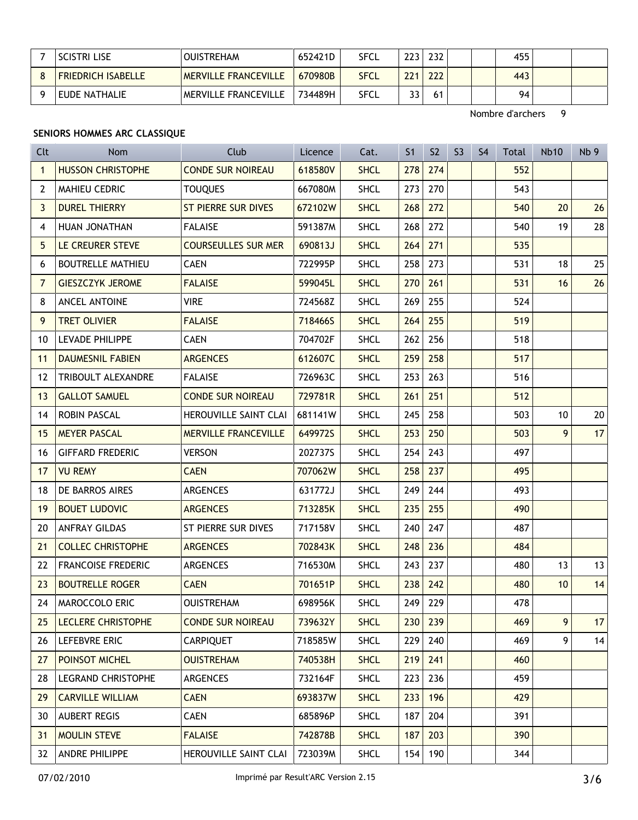| <b>SCISTRI LISE</b>       | <b>OUISTREHAM</b>           | 652421D | <b>SFCL</b> | 223  | 232 | 455 |  |
|---------------------------|-----------------------------|---------|-------------|------|-----|-----|--|
| <b>FRIEDRICH ISABELLE</b> | <b>MERVILLE FRANCEVILLE</b> | 670980B | <b>SFCL</b> | 2211 | 222 | 443 |  |
| EUDE NATHALIE             | MERVILLE FRANCEVILLE        | 734489H | <b>SFCL</b> | วว   |     | 94  |  |

Nombre d'archers 9

# **SENIORS HOMMES ARC CLASSIQUE**

| Clt            | <b>Nom</b>                | Club                        | Licence | Cat.        | S <sub>1</sub> | S <sub>2</sub> | S <sub>3</sub> | S <sub>4</sub> | <b>Total</b> | <b>Nb10</b> | Nb <sub>9</sub> |
|----------------|---------------------------|-----------------------------|---------|-------------|----------------|----------------|----------------|----------------|--------------|-------------|-----------------|
| $\mathbf{1}$   | <b>HUSSON CHRISTOPHE</b>  | <b>CONDE SUR NOIREAU</b>    | 618580V | <b>SHCL</b> | 278            | 274            |                |                | 552          |             |                 |
| $\overline{2}$ | MAHIEU CEDRIC             | <b>TOUQUES</b>              | 667080M | <b>SHCL</b> | 273            | 270            |                |                | 543          |             |                 |
| 3              | <b>DUREL THIERRY</b>      | <b>ST PIERRE SUR DIVES</b>  | 672102W | <b>SHCL</b> | 268            | 272            |                |                | 540          | 20          | 26              |
| 4              | HUAN JONATHAN             | <b>FALAISE</b>              | 591387M | <b>SHCL</b> | 268            | 272            |                |                | 540          | 19          | 28              |
| 5              | LE CREURER STEVE          | <b>COURSEULLES SUR MER</b>  | 690813J | <b>SHCL</b> | 264            | 271            |                |                | 535          |             |                 |
| 6              | <b>BOUTRELLE MATHIEU</b>  | <b>CAEN</b>                 | 722995P | <b>SHCL</b> | 258            | 273            |                |                | 531          | 18          | 25              |
| $\overline{7}$ | <b>GIESZCZYK JEROME</b>   | <b>FALAISE</b>              | 599045L | <b>SHCL</b> | 270            | 261            |                |                | 531          | 16          | 26              |
| 8              | ANCEL ANTOINE             | <b>VIRE</b>                 | 724568Z | <b>SHCL</b> | 269            | 255            |                |                | 524          |             |                 |
| 9              | <b>TRET OLIVIER</b>       | <b>FALAISE</b>              | 718466S | <b>SHCL</b> | 264            | 255            |                |                | 519          |             |                 |
| 10             | <b>LEVADE PHILIPPE</b>    | <b>CAEN</b>                 | 704702F | <b>SHCL</b> | 262            | 256            |                |                | 518          |             |                 |
| 11             | <b>DAUMESNIL FABIEN</b>   | <b>ARGENCES</b>             | 612607C | <b>SHCL</b> | 259            | 258            |                |                | 517          |             |                 |
| 12             | <b>TRIBOULT ALEXANDRE</b> | <b>FALAISE</b>              | 726963C | <b>SHCL</b> | 253            | 263            |                |                | 516          |             |                 |
| 13             | <b>GALLOT SAMUEL</b>      | <b>CONDE SUR NOIREAU</b>    | 729781R | <b>SHCL</b> | 261            | 251            |                |                | 512          |             |                 |
| 14             | <b>ROBIN PASCAL</b>       | HEROUVILLE SAINT CLAI       | 681141W | <b>SHCL</b> | 245            | 258            |                |                | 503          | 10          | 20              |
| 15             | <b>MEYER PASCAL</b>       | <b>MERVILLE FRANCEVILLE</b> | 649972S | <b>SHCL</b> | 253            | 250            |                |                | 503          | 9           | 17              |
| 16             | <b>GIFFARD FREDERIC</b>   | <b>VERSON</b>               | 202737S | <b>SHCL</b> | 254            | 243            |                |                | 497          |             |                 |
| 17             | <b>VU REMY</b>            | <b>CAEN</b>                 | 707062W | <b>SHCL</b> | 258            | 237            |                |                | 495          |             |                 |
| 18             | DE BARROS AIRES           | ARGENCES                    | 631772J | <b>SHCL</b> | 249            | 244            |                |                | 493          |             |                 |
| 19             | <b>BOUET LUDOVIC</b>      | <b>ARGENCES</b>             | 713285K | <b>SHCL</b> | 235            | 255            |                |                | 490          |             |                 |
| 20             | <b>ANFRAY GILDAS</b>      | ST PIERRE SUR DIVES         | 717158V | <b>SHCL</b> | 240            | 247            |                |                | 487          |             |                 |
| 21             | <b>COLLEC CHRISTOPHE</b>  | <b>ARGENCES</b>             | 702843K | <b>SHCL</b> | 248            | 236            |                |                | 484          |             |                 |
| 22             | <b>FRANCOISE FREDERIC</b> | ARGENCES                    | 716530M | <b>SHCL</b> | 243            | 237            |                |                | 480          | 13          | 13              |
| 23             | <b>BOUTRELLE ROGER</b>    | <b>CAEN</b>                 | 701651P | <b>SHCL</b> | 238            | 242            |                |                | 480          | 10          | 14              |
| 24             | <b>MAROCCOLO ERIC</b>     | <b>OUISTREHAM</b>           | 698956K | <b>SHCL</b> | 249            | 229            |                |                | 478          |             |                 |
| 25             | <b>LECLERE CHRISTOPHE</b> | <b>CONDE SUR NOIREAU</b>    | 739632Y | <b>SHCL</b> | 230            | 239            |                |                | 469          | 9           | 17              |
|                | 26 LEFEBVRE ERIC          | <b>CARPIQUET</b>            | 718585W | <b>SHCL</b> | 229            | 240            |                |                | 469          | 9           | 14              |
| 27             | POINSOT MICHEL            | <b>OUISTREHAM</b>           | 740538H | <b>SHCL</b> | 219            | 241            |                |                | 460          |             |                 |
| 28             | LEGRAND CHRISTOPHE        | <b>ARGENCES</b>             | 732164F | <b>SHCL</b> | 223            | 236            |                |                | 459          |             |                 |
| <b>29</b>      | <b>CARVILLE WILLIAM</b>   | <b>CAEN</b>                 | 693837W | <b>SHCL</b> | 233            | 196            |                |                | 429          |             |                 |
| 30             | AUBERT REGIS              | <b>CAEN</b>                 | 685896P | <b>SHCL</b> | 187            | 204            |                |                | 391          |             |                 |
|                | 31 MOULIN STEVE           | <b>FALAISE</b>              | 742878B | <b>SHCL</b> | 187            | 203            |                |                | 390          |             |                 |
|                | 32 ANDRE PHILIPPE         | HEROUVILLE SAINT CLAI       | 723039M | <b>SHCL</b> | 154            | 190            |                |                | 344          |             |                 |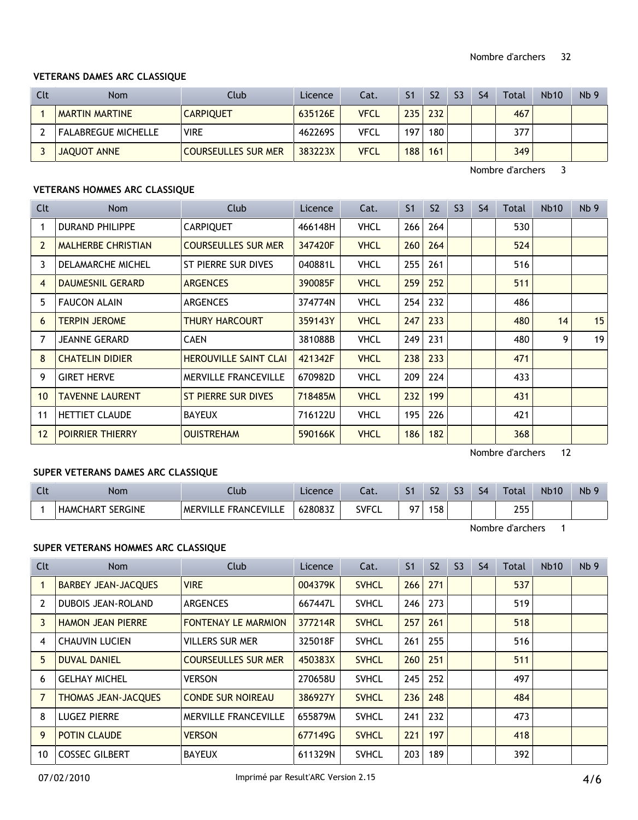#### **VETERANS DAMES ARC CLASSIQUE**

| Clt | <b>Nom</b>                 | Club                       | Licence | Cat. | S <sub>1</sub> | S <sub>2</sub> | S <sub>3</sub> | S <sub>4</sub> | Total | <b>Nb10</b> | Nb <sub>9</sub> |
|-----|----------------------------|----------------------------|---------|------|----------------|----------------|----------------|----------------|-------|-------------|-----------------|
|     | <b>MARTIN MARTINE</b>      | <b>CARPIQUET</b>           | 635126E | VFCL | 235            | 232            |                |                | 467   |             |                 |
|     | <b>FALABREGUE MICHELLE</b> | <b>VIRE</b>                | 462269S | VFCL | 197            | 180            |                |                | 377   |             |                 |
|     | JAQUOT ANNE                | <b>COURSEULLES SUR MER</b> | 383223X | VFCL | 188            | 161            |                |                | 349   |             |                 |

Nombre d'archers 3

# **VETERANS HOMMES ARC CLASSIQUE**

| Clt | Nom                       | Club                         | Licence | Cat.        | S <sub>1</sub> | S <sub>2</sub> | S <sub>3</sub> | S <sub>4</sub> | Total | <b>Nb10</b> | Nb <sub>9</sub> |
|-----|---------------------------|------------------------------|---------|-------------|----------------|----------------|----------------|----------------|-------|-------------|-----------------|
|     | <b>DURAND PHILIPPE</b>    | <b>CARPIQUET</b>             | 466148H | <b>VHCL</b> | 266            | 264            |                |                | 530   |             |                 |
| 2   | <b>MALHERBE CHRISTIAN</b> | <b>COURSEULLES SUR MER</b>   | 347420F | <b>VHCL</b> | 260            | 264            |                |                | 524   |             |                 |
| 3   | DELAMARCHE MICHEL         | ST PIERRE SUR DIVES          | 040881L | VHCL        | 255            | 261            |                |                | 516   |             |                 |
| 4   | <b>DAUMESNIL GERARD</b>   | <b>ARGENCES</b>              | 390085F | <b>VHCL</b> | 259            | 252            |                |                | 511   |             |                 |
| 5.  | <b>FAUCON ALAIN</b>       | <b>ARGENCES</b>              | 374774N | VHCL        | 254            | 232            |                |                | 486   |             |                 |
| 6   | <b>TERPIN JEROME</b>      | <b>THURY HARCOURT</b>        | 359143Y | <b>VHCL</b> | 247            | 233            |                |                | 480   | 14          | 15              |
| 7   | <b>JEANNE GERARD</b>      | <b>CAEN</b>                  | 381088B | <b>VHCL</b> | 249            | 231            |                |                | 480   | 9           | 19              |
| 8   | <b>CHATELIN DIDIER</b>    | <b>HEROUVILLE SAINT CLAI</b> | 421342F | <b>VHCL</b> | 238            | 233            |                |                | 471   |             |                 |
| 9   | <b>GIRET HERVE</b>        | <b>MERVILLE FRANCEVILLE</b>  | 670982D | VHCL        | 209            | 224            |                |                | 433   |             |                 |
| 10  | <b>TAVENNE LAURENT</b>    | ST PIERRE SUR DIVES          | 718485M | <b>VHCL</b> | 232            | 199            |                |                | 431   |             |                 |
| 11  | <b>HETTIET CLAUDE</b>     | <b>BAYEUX</b>                | 716122U | VHCL        | 195            | 226            |                |                | 421   |             |                 |
|     | 12 POIRRIER THIERRY       | <b>OUISTREHAM</b>            | 590166K | <b>VHCL</b> | 186            | 182            |                |                | 368   |             |                 |

Nombre d'archers 12

# **SUPER VETERANS DAMES ARC CLASSIQUE**

| $\sim$<br>นเ | Nom                               | Llub                                                     | Licence | $\sim$<br>-aι. | S <sub>1</sub> | S <sub>2</sub> | ~~ | S <sub>4</sub> | Total             | <b>Nb10</b> | N <sub>b</sub> 9 |
|--------------|-----------------------------------|----------------------------------------------------------|---------|----------------|----------------|----------------|----|----------------|-------------------|-------------|------------------|
|              | <b>SERGINE</b><br><b>HAMCHART</b> | F<br><b>FVII</b><br><b>FRANC</b><br><b>MERVIL</b><br>. . | 628083Z | SVEC.<br>◡└    | ~-             | 158            |    |                | つにに<br><u>_JJ</u> |             |                  |

Nombre d'archers 1

# **SUPER VETERANS HOMMES ARC CLASSIQUE**

| Clt | Nom                        | <b>Club</b>                 | Licence | Cat.         | S <sub>1</sub> | S <sub>2</sub> | S <sub>3</sub> | S <sub>4</sub> | Total | <b>Nb10</b> | Nb <sub>9</sub> |
|-----|----------------------------|-----------------------------|---------|--------------|----------------|----------------|----------------|----------------|-------|-------------|-----------------|
|     | <b>BARBEY JEAN-JACQUES</b> | <b>VIRE</b>                 | 004379K | <b>SVHCL</b> | 266            | 271            |                |                | 537   |             |                 |
| 2   | <b>DUBOIS JEAN-ROLAND</b>  | <b>ARGENCES</b>             | 667447L | <b>SVHCL</b> | 246            | 273            |                |                | 519   |             |                 |
| 3   | <b>HAMON JEAN PIERRE</b>   | <b>FONTENAY LE MARMION</b>  | 377214R | <b>SVHCL</b> | 257            | 261            |                |                | 518   |             |                 |
| 4   | <b>CHAUVIN LUCIEN</b>      | <b>VILLERS SUR MER</b>      | 325018F | <b>SVHCL</b> | 261            | 255            |                |                | 516   |             |                 |
| 5.  | <b>DUVAL DANIEL</b>        | <b>COURSEULLES SUR MER</b>  | 450383X | <b>SVHCL</b> | 260            | 251            |                |                | 511   |             |                 |
| 6   | <b>GELHAY MICHEL</b>       | <b>VERSON</b>               | 270658U | <b>SVHCL</b> | 245            | 252            |                |                | 497   |             |                 |
|     | <b>THOMAS JEAN-JACQUES</b> | <b>CONDE SUR NOIREAU</b>    | 386927Y | <b>SVHCL</b> | 236            | 248            |                |                | 484   |             |                 |
| 8   | <b>LUGEZ PIERRE</b>        | <b>MERVILLE FRANCEVILLE</b> | 655879M | <b>SVHCL</b> | 241            | 232            |                |                | 473   |             |                 |
| 9   | <b>POTIN CLAUDE</b>        | <b>VERSON</b>               | 677149G | <b>SVHCL</b> | 221            | 197            |                |                | 418   |             |                 |
| 10  | <b>COSSEC GILBERT</b>      | <b>BAYEUX</b>               | 611329N | <b>SVHCL</b> | 203            | 189            |                |                | 392   |             |                 |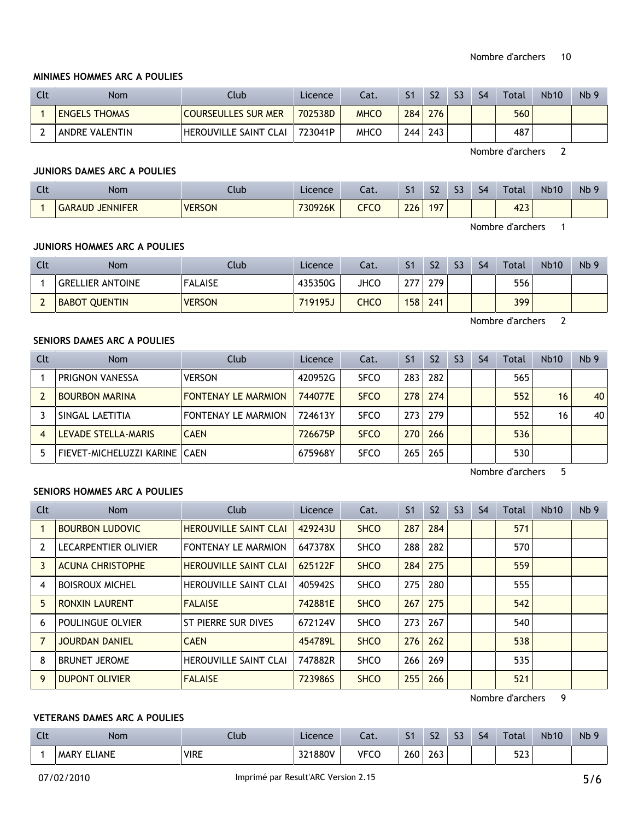#### **MINIMES HOMMES ARC A POULIES**

| Clt | <b>Nom</b>           | Club                       | Licence | Cat.        | S <sub>1</sub>   | S <sub>2</sub> | S <sub>3</sub> | S <sub>4</sub> | Total | <b>Nb10</b> | Nb <sub>9</sub> |
|-----|----------------------|----------------------------|---------|-------------|------------------|----------------|----------------|----------------|-------|-------------|-----------------|
|     | <b>ENGELS THOMAS</b> | <b>COURSEULLES SUR MER</b> | 702538D | <b>MHCO</b> | 284 <sub>1</sub> | 276            |                |                | 560   |             |                 |
|     | ANDRE VALENTIN       | HEROUVILLE SAINT CLAI      | 723041P | <b>MHCO</b> | 244 <sub>1</sub> | 243            |                |                | 487   |             |                 |

Nombre d'archers 2

# **JUNIORS DAMES ARC A POULIES**

| ิ | Nom                       | Llub          | Licence | $\sim$<br>cal. | c.  | C <sub>2</sub><br>24 | $\sim$<br>-- | S <sub>4</sub> | Total                                        | <b>Nb10</b> | Nb <sub>9</sub> |
|---|---------------------------|---------------|---------|----------------|-----|----------------------|--------------|----------------|----------------------------------------------|-------------|-----------------|
|   | <b>JENNIFER</b><br>GARAUD | <b>VERSON</b> | 730926K | <b>CFCO</b>    | 226 | 197                  |              |                | 122<br>4L <sub>3</sub><br>and the control of |             |                 |

Nombre d'archers 1

#### **JUNIORS HOMMES ARC A POULIES**

| Clt | <b>Nom</b>              | Club           | Licence | Cat. |     | S <sub>2</sub> | S3 | S <sub>4</sub> | Total | <b>Nb10</b> | Nb <sub>9</sub> |
|-----|-------------------------|----------------|---------|------|-----|----------------|----|----------------|-------|-------------|-----------------|
|     | <b>GRELLIER ANTOINE</b> | <b>FALAISE</b> | 435350G | JHCO | 27  | 279            |    |                | 556   |             |                 |
|     | <b>BABOT QUENTIN</b>    | <b>VERSON</b>  | 719195J | CHCO | 158 | 241            |    |                | 399   |             |                 |

Nombre d'archers 2

# **SENIORS DAMES ARC A POULIES**

| Clt | <b>Nom</b>                      | Club                       | Licence | Cat.        | S <sub>1</sub> | S <sub>2</sub> | S <sub>3</sub> | S <sub>4</sub> | Total | <b>Nb10</b> | Nb <sub>9</sub> |
|-----|---------------------------------|----------------------------|---------|-------------|----------------|----------------|----------------|----------------|-------|-------------|-----------------|
|     | <b>PRIGNON VANESSA</b>          | <b>VERSON</b>              | 420952G | <b>SFCO</b> | 283            | 282            |                |                | 565   |             |                 |
|     | <b>BOURBON MARINA</b>           | <b>FONTENAY LE MARMION</b> | 744077E | <b>SFCO</b> | 278            | 274            |                |                | 552   | 16          | 40              |
|     | SINGAL LAETITIA                 | FONTENAY LE MARMION        | 724613Y | <b>SFCO</b> | 273            | 279            |                |                | 552   | 16          | 40              |
|     | LEVADE STELLA-MARIS             | <b>CAEN</b>                | 726675P | <b>SFCO</b> | 270            | 266            |                |                | 536   |             |                 |
|     | FIEVET-MICHELUZZI KARINE   CAEN |                            | 675968Y | <b>SFCO</b> | 265            | 265            |                |                | 530   |             |                 |

Nombre d'archers 5

# **SENIORS HOMMES ARC A POULIES**

| Clt | Nom                     | Club                         | Licence | Cat.        | S <sub>1</sub> | S <sub>2</sub> | S <sub>3</sub> | S <sub>4</sub> | Total | <b>Nb10</b> | Nb <sub>9</sub> |
|-----|-------------------------|------------------------------|---------|-------------|----------------|----------------|----------------|----------------|-------|-------------|-----------------|
|     | <b>BOURBON LUDOVIC</b>  | <b>HEROUVILLE SAINT CLAI</b> | 429243U | <b>SHCO</b> | 287            | 284            |                |                | 571   |             |                 |
| 2   | LECARPENTIER OLIVIER    | <b>FONTENAY LE MARMION</b>   | 647378X | <b>SHCO</b> | 288            | 282            |                |                | 570   |             |                 |
| 3   | <b>ACUNA CHRISTOPHE</b> | <b>HEROUVILLE SAINT CLAI</b> | 625122F | <b>SHCO</b> | 284            | 275            |                |                | 559   |             |                 |
| 4   | <b>BOISROUX MICHEL</b>  | <b>HEROUVILLE SAINT CLAI</b> | 405942S | <b>SHCO</b> | 275            | 280            |                |                | 555   |             |                 |
| 5   | <b>RONXIN LAURENT</b>   | <b>FALAISE</b>               | 742881E | <b>SHCO</b> | 267            | 275            |                |                | 542   |             |                 |
| 6   | POULINGUE OLVIER        | ST PIERRE SUR DIVES          | 672124V | <b>SHCO</b> | 273            | 267            |                |                | 540   |             |                 |
|     | <b>JOURDAN DANIEL</b>   | <b>CAEN</b>                  | 454789L | <b>SHCO</b> | 276            | 262            |                |                | 538   |             |                 |
| 8   | <b>BRUNET JEROME</b>    | <b>HEROUVILLE SAINT CLAI</b> | 747882R | <b>SHCO</b> | 266            | 269            |                |                | 535   |             |                 |
| 9   | <b>DUPONT OLIVIER</b>   | <b>FALAISE</b>               | 723986S | <b>SHCO</b> | 255            | 266            |                |                | 521   |             |                 |

Nombre d'archers 9

# **VETERANS DAMES ARC A POULIES**

| $\sim$<br>$\overline{\phantom{a}}$ | Nom                                                                          | Ilub                                               | Licence               | $\sim$<br>-uc. | $\sim$<br>- 1                       | c,<br>34                              | $\sim$<br>-- | $\sim$<br>$\mathcal{P}$ | Total              | <b>Nb10</b> | Nb <sub>s</sub> |
|------------------------------------|------------------------------------------------------------------------------|----------------------------------------------------|-----------------------|----------------|-------------------------------------|---------------------------------------|--------------|-------------------------|--------------------|-------------|-----------------|
|                                    | IANE.<br>MAR <sup>V</sup><br>the contract of the contract of the contract of | <b>VIRE</b><br>the contract of the contract of the | 1880V<br>$\sim$<br>ےر | <b>VFCO</b>    | $\sim$ 0.00<br><b>260</b><br>$\sim$ | $\sim$ $\sim$<br>263<br>$\sim$ $\sim$ |              |                         | につつ<br>د ےر<br>. . |             |                 |